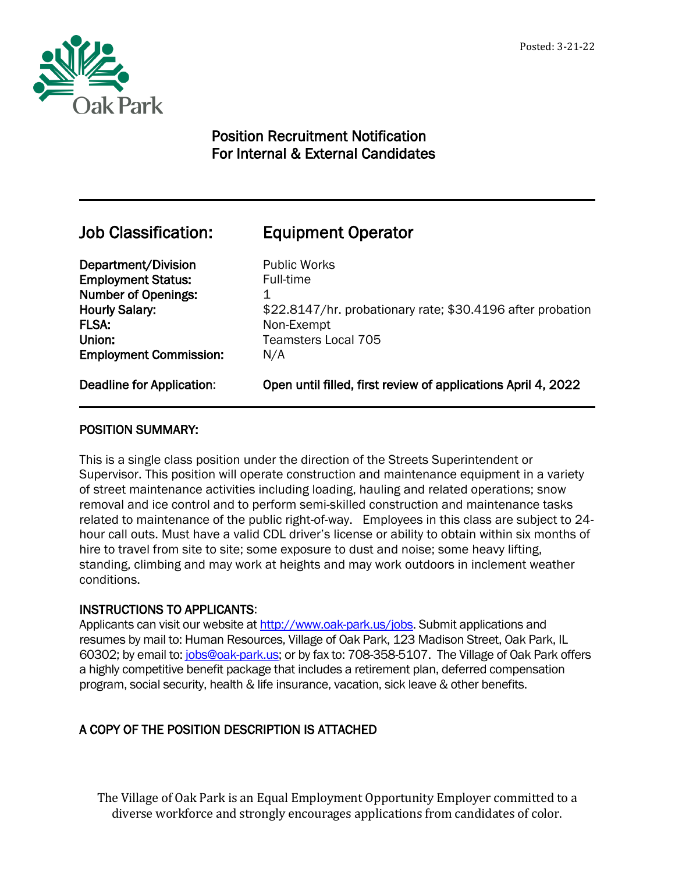

# Position Recruitment Notification For Internal & External Candidates

| <b>Job Classification:</b>                                                                                                                                         | <b>Equipment Operator</b>                                                                                                                         |
|--------------------------------------------------------------------------------------------------------------------------------------------------------------------|---------------------------------------------------------------------------------------------------------------------------------------------------|
| Department/Division<br><b>Employment Status:</b><br><b>Number of Openings:</b><br><b>Hourly Salary:</b><br><b>FLSA:</b><br>Union:<br><b>Employment Commission:</b> | <b>Public Works</b><br>Full-time<br>\$22.8147/hr. probationary rate; \$30.4196 after probation<br>Non-Exempt<br><b>Teamsters Local 705</b><br>N/A |
| Deadline for Application:                                                                                                                                          | Open until filled, first review of applications April 4, 2022                                                                                     |

# POSITION SUMMARY:

This is a single class position under the direction of the Streets Superintendent or Supervisor. This position will operate construction and maintenance equipment in a variety of street maintenance activities including loading, hauling and related operations; snow removal and ice control and to perform semi-skilled construction and maintenance tasks related to maintenance of the public right-of-way. Employees in this class are subject to 24 hour call outs. Must have a valid CDL driver's license or ability to obtain within six months of hire to travel from site to site; some exposure to dust and noise; some heavy lifting, standing, climbing and may work at heights and may work outdoors in inclement weather conditions.

# INSTRUCTIONS TO APPLICANTS:

Applicants can visit our website at [http://www.oak-park.us/jobs.](http://www.oak-park.us/jobs) Submit applications and resumes by mail to: Human Resources, Village of Oak Park, 123 Madison Street, Oak Park, IL 60302; by email to: [jobs@oak-park.us;](mailto:HR@oak-park.us) or by fax to: 708-358-5107. The Village of Oak Park offers a highly competitive benefit package that includes a retirement plan, deferred compensation program, social security, health & life insurance, vacation, sick leave & other benefits.

# A COPY OF THE POSITION DESCRIPTION IS ATTACHED

The Village of Oak Park is an Equal Employment Opportunity Employer committed to a diverse workforce and strongly encourages applications from candidates of color.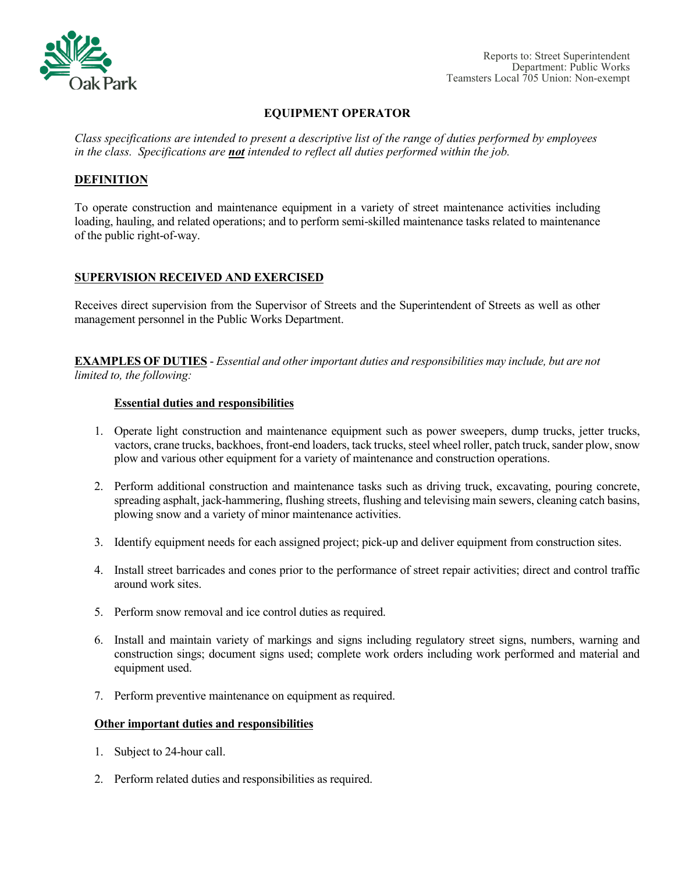

### **EQUIPMENT OPERATOR**

*Class specifications are intended to present a descriptive list of the range of duties performed by employees in the class. Specifications are not intended to reflect all duties performed within the job.*

### **DEFINITION**

To operate construction and maintenance equipment in a variety of street maintenance activities including loading, hauling, and related operations; and to perform semi-skilled maintenance tasks related to maintenance of the public right-of-way.

# **SUPERVISION RECEIVED AND EXERCISED**

Receives direct supervision from the Supervisor of Streets and the Superintendent of Streets as well as other management personnel in the Public Works Department.

**EXAMPLES OF DUTIES** - *Essential and other important duties and responsibilities may include, but are not limited to, the following:*

#### **Essential duties and responsibilities**

- 1. Operate light construction and maintenance equipment such as power sweepers, dump trucks, jetter trucks, vactors, crane trucks, backhoes, front-end loaders, tack trucks, steel wheel roller, patch truck, sander plow, snow plow and various other equipment for a variety of maintenance and construction operations.
- 2. Perform additional construction and maintenance tasks such as driving truck, excavating, pouring concrete, spreading asphalt, jack-hammering, flushing streets, flushing and televising main sewers, cleaning catch basins, plowing snow and a variety of minor maintenance activities.
- 3. Identify equipment needs for each assigned project; pick-up and deliver equipment from construction sites.
- 4. Install street barricades and cones prior to the performance of street repair activities; direct and control traffic around work sites.
- 5. Perform snow removal and ice control duties as required.
- 6. Install and maintain variety of markings and signs including regulatory street signs, numbers, warning and construction sings; document signs used; complete work orders including work performed and material and equipment used.
- 7. Perform preventive maintenance on equipment as required.

#### **Other important duties and responsibilities**

- 1. Subject to 24-hour call.
- 2. Perform related duties and responsibilities as required.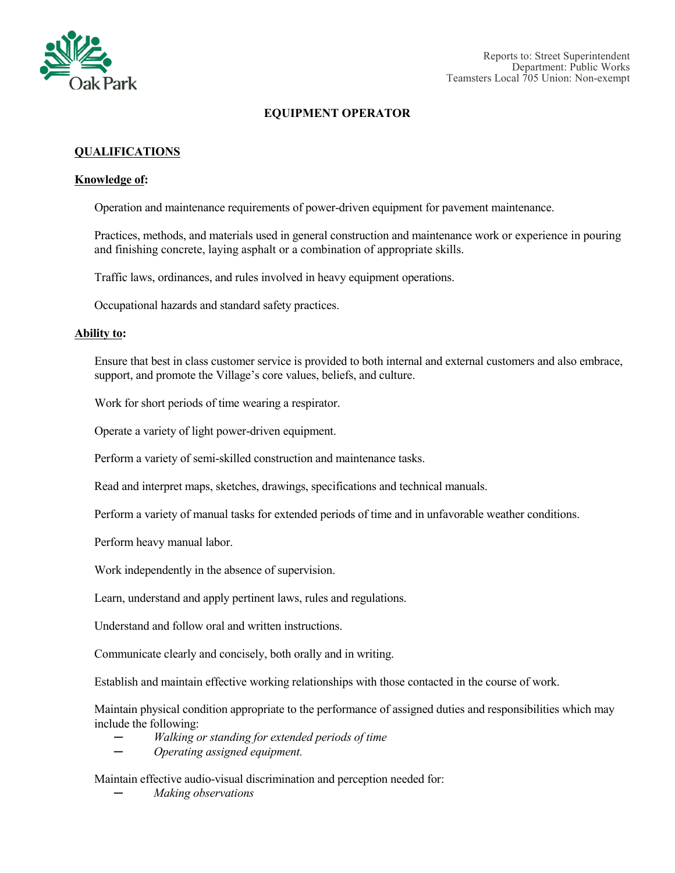

### **EQUIPMENT OPERATOR**

# **QUALIFICATIONS**

#### **Knowledge of:**

Operation and maintenance requirements of power-driven equipment for pavement maintenance.

Practices, methods, and materials used in general construction and maintenance work or experience in pouring and finishing concrete, laying asphalt or a combination of appropriate skills.

Traffic laws, ordinances, and rules involved in heavy equipment operations.

Occupational hazards and standard safety practices.

#### **Ability to:**

Ensure that best in class customer service is provided to both internal and external customers and also embrace, support, and promote the Village's core values, beliefs, and culture.

Work for short periods of time wearing a respirator.

Operate a variety of light power-driven equipment.

Perform a variety of semi-skilled construction and maintenance tasks.

Read and interpret maps, sketches, drawings, specifications and technical manuals.

Perform a variety of manual tasks for extended periods of time and in unfavorable weather conditions.

Perform heavy manual labor.

Work independently in the absence of supervision.

Learn, understand and apply pertinent laws, rules and regulations.

Understand and follow oral and written instructions.

Communicate clearly and concisely, both orally and in writing.

Establish and maintain effective working relationships with those contacted in the course of work.

Maintain physical condition appropriate to the performance of assigned duties and responsibilities which may include the following:

- *─ Walking or standing for extended periods of time*
- *─ Operating assigned equipment.*

Maintain effective audio-visual discrimination and perception needed for:

*─ Making observations*